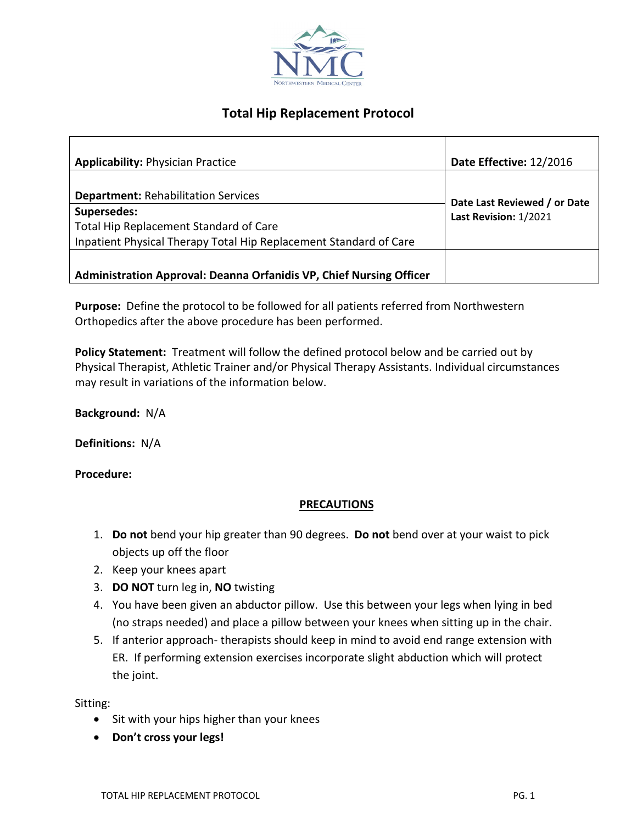

# **Total Hip Replacement Protocol**

| <b>Applicability: Physician Practice</b>                                                                                                                                        | Date Effective: 12/2016                               |
|---------------------------------------------------------------------------------------------------------------------------------------------------------------------------------|-------------------------------------------------------|
| <b>Department: Rehabilitation Services</b><br><b>Supersedes:</b><br>Total Hip Replacement Standard of Care<br>Inpatient Physical Therapy Total Hip Replacement Standard of Care | Date Last Reviewed / or Date<br>Last Revision: 1/2021 |
| Administration Approval: Deanna Orfanidis VP, Chief Nursing Officer                                                                                                             |                                                       |

**Purpose:** Define the protocol to be followed for all patients referred from Northwestern Orthopedics after the above procedure has been performed.

**Policy Statement:** Treatment will follow the defined protocol below and be carried out by Physical Therapist, Athletic Trainer and/or Physical Therapy Assistants. Individual circumstances may result in variations of the information below.

**Background:** N/A

**Definitions:** N/A

**Procedure:**

## **PRECAUTIONS**

- 1. **Do not** bend your hip greater than 90 degrees. **Do not** bend over at your waist to pick objects up off the floor
- 2. Keep your knees apart
- 3. **DO NOT** turn leg in, **NO** twisting
- 4. You have been given an abductor pillow. Use this between your legs when lying in bed (no straps needed) and place a pillow between your knees when sitting up in the chair.
- 5. If anterior approach- therapists should keep in mind to avoid end range extension with ER. If performing extension exercises incorporate slight abduction which will protect the joint.

Sitting:

- Sit with your hips higher than your knees
- **Don't cross your legs!**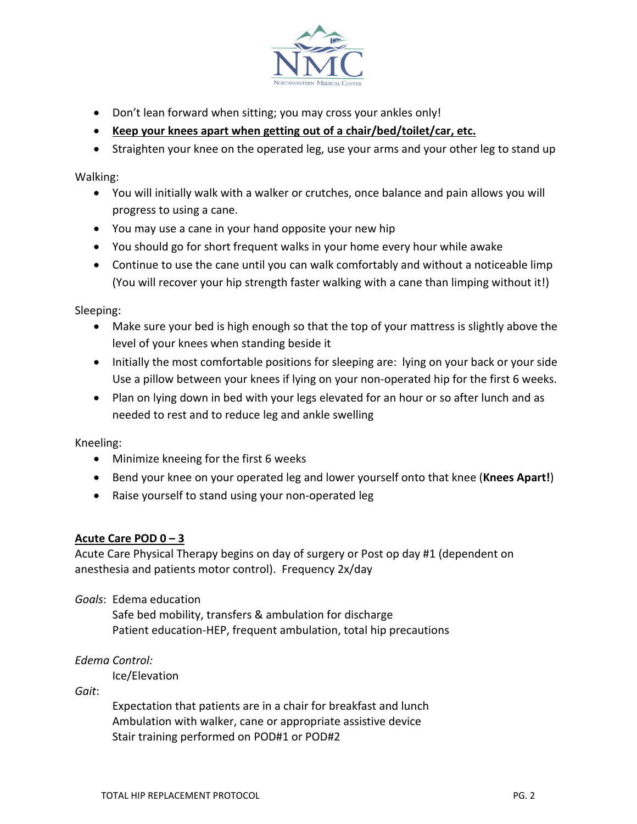

- Don't lean forward when sitting; you may cross your ankles only!
- **Keep your knees apart when getting out of a chair/bed/toilet/car, etc.**
- Straighten your knee on the operated leg, use your arms and your other leg to stand up

Walking:

- You will initially walk with a walker or crutches, once balance and pain allows you will progress to using a cane.
- You may use a cane in your hand opposite your new hip
- You should go for short frequent walks in your home every hour while awake
- Continue to use the cane until you can walk comfortably and without a noticeable limp (You will recover your hip strength faster walking with a cane than limping without it!)

Sleeping:

- Make sure your bed is high enough so that the top of your mattress is slightly above the level of your knees when standing beside it
- Initially the most comfortable positions for sleeping are: lying on your back or your side Use a pillow between your knees if lying on your non-operated hip for the first 6 weeks.
- Plan on lying down in bed with your legs elevated for an hour or so after lunch and as needed to rest and to reduce leg and ankle swelling

Kneeling:

- Minimize kneeing for the first 6 weeks
- Bend your knee on your operated leg and lower yourself onto that knee (**Knees Apart!**)
- Raise yourself to stand using your non-operated leg

# **Acute Care POD 0 – 3**

Acute Care Physical Therapy begins on day of surgery or Post op day #1 (dependent on anesthesia and patients motor control). Frequency 2x/day

*Goals*: Edema education

Safe bed mobility, transfers & ambulation for discharge Patient education-HEP, frequent ambulation, total hip precautions

## *Edema Control:*

Ice/Elevation

*Gait*:

Expectation that patients are in a chair for breakfast and lunch Ambulation with walker, cane or appropriate assistive device Stair training performed on POD#1 or POD#2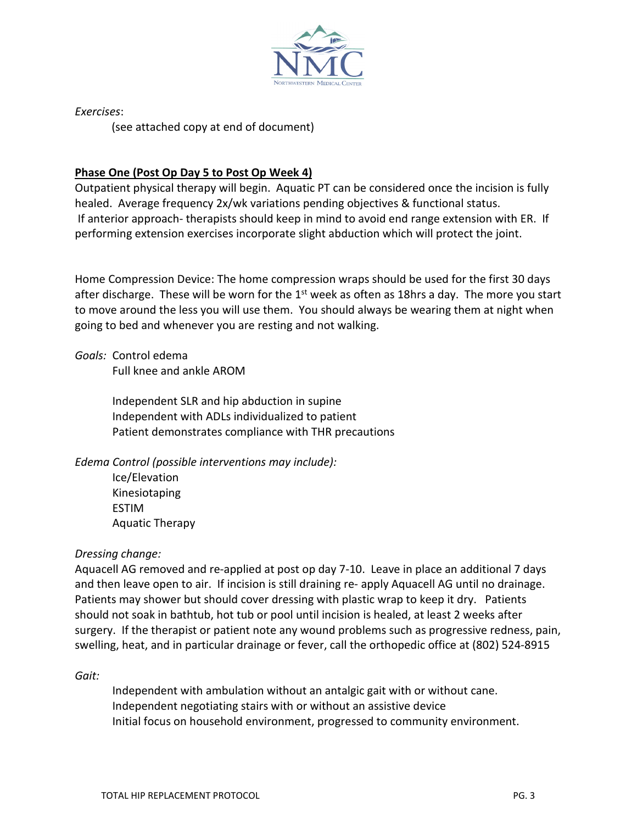

*Exercises*:

(see attached copy at end of document)

## **Phase One (Post Op Day 5 to Post Op Week 4)**

Outpatient physical therapy will begin. Aquatic PT can be considered once the incision is fully healed. Average frequency 2x/wk variations pending objectives & functional status. If anterior approach- therapists should keep in mind to avoid end range extension with ER. If performing extension exercises incorporate slight abduction which will protect the joint.

Home Compression Device: The home compression wraps should be used for the first 30 days after discharge. These will be worn for the  $1<sup>st</sup>$  week as often as 18hrs a day. The more you start to move around the less you will use them. You should always be wearing them at night when going to bed and whenever you are resting and not walking.

*Goals:* Control edema

Full knee and ankle AROM

Independent SLR and hip abduction in supine Independent with ADLs individualized to patient Patient demonstrates compliance with THR precautions

## *Edema Control (possible interventions may include):*

Ice/Elevation Kinesiotaping ESTIM Aquatic Therapy

## *Dressing change:*

Aquacell AG removed and re-applied at post op day 7-10. Leave in place an additional 7 days and then leave open to air. If incision is still draining re- apply Aquacell AG until no drainage. Patients may shower but should cover dressing with plastic wrap to keep it dry. Patients should not soak in bathtub, hot tub or pool until incision is healed, at least 2 weeks after surgery. If the therapist or patient note any wound problems such as progressive redness, pain, swelling, heat, and in particular drainage or fever, call the orthopedic office at (802) 524-8915

*Gait:*

Independent with ambulation without an antalgic gait with or without cane. Independent negotiating stairs with or without an assistive device Initial focus on household environment, progressed to community environment.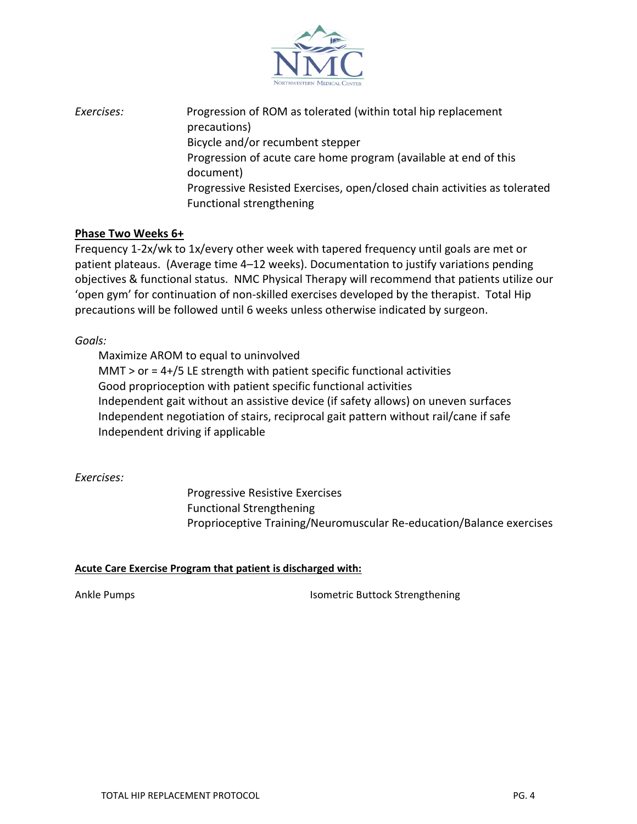

*Exercises:* Progression of ROM as tolerated (within total hip replacement precautions) Bicycle and/or recumbent stepper Progression of acute care home program (available at end of this document) Progressive Resisted Exercises, open/closed chain activities as tolerated Functional strengthening

## **Phase Two Weeks 6+**

Frequency 1-2x/wk to 1x/every other week with tapered frequency until goals are met or patient plateaus. (Average time 4–12 weeks). Documentation to justify variations pending objectives & functional status. NMC Physical Therapy will recommend that patients utilize our 'open gym' for continuation of non-skilled exercises developed by the therapist. Total Hip precautions will be followed until 6 weeks unless otherwise indicated by surgeon.

#### *Goals:*

Maximize AROM to equal to uninvolved  $MMT > or = 4+/5$  LE strength with patient specific functional activities Good proprioception with patient specific functional activities Independent gait without an assistive device (if safety allows) on uneven surfaces Independent negotiation of stairs, reciprocal gait pattern without rail/cane if safe Independent driving if applicable

## *Exercises:*

Progressive Resistive Exercises Functional Strengthening Proprioceptive Training/Neuromuscular Re-education/Balance exercises

#### **Acute Care Exercise Program that patient is discharged with:**

Ankle Pumps **Isometric Buttock Strengthening**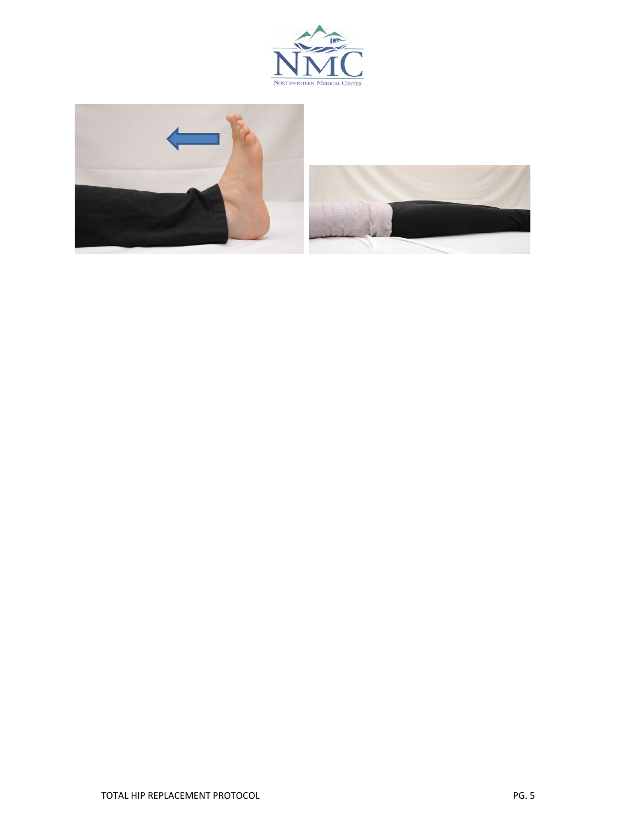

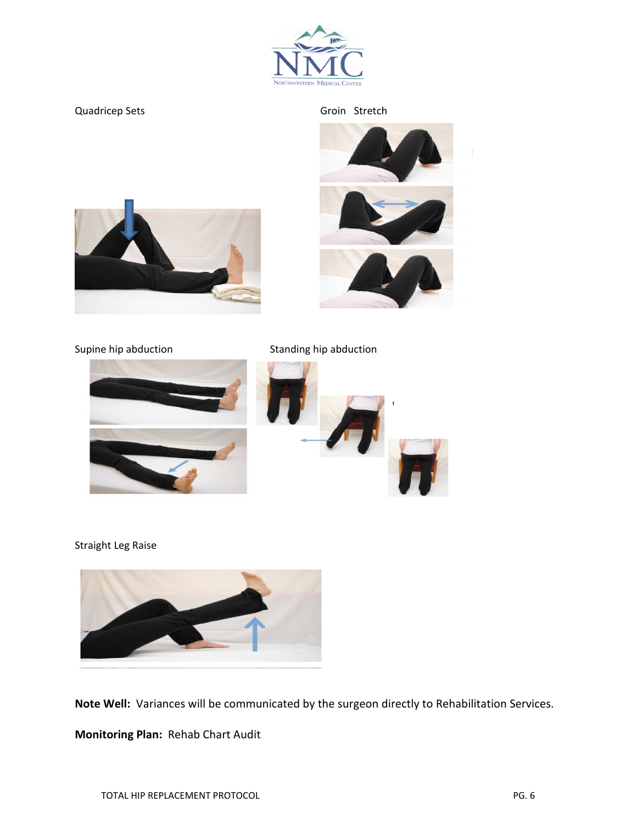

# Quadricep Sets Groin Stretch







Supine hip abduction Standing hip abduction



Straight Leg Raise



**Note Well:** Variances will be communicated by the surgeon directly to Rehabilitation Services.

**Monitoring Plan:** Rehab Chart Audit